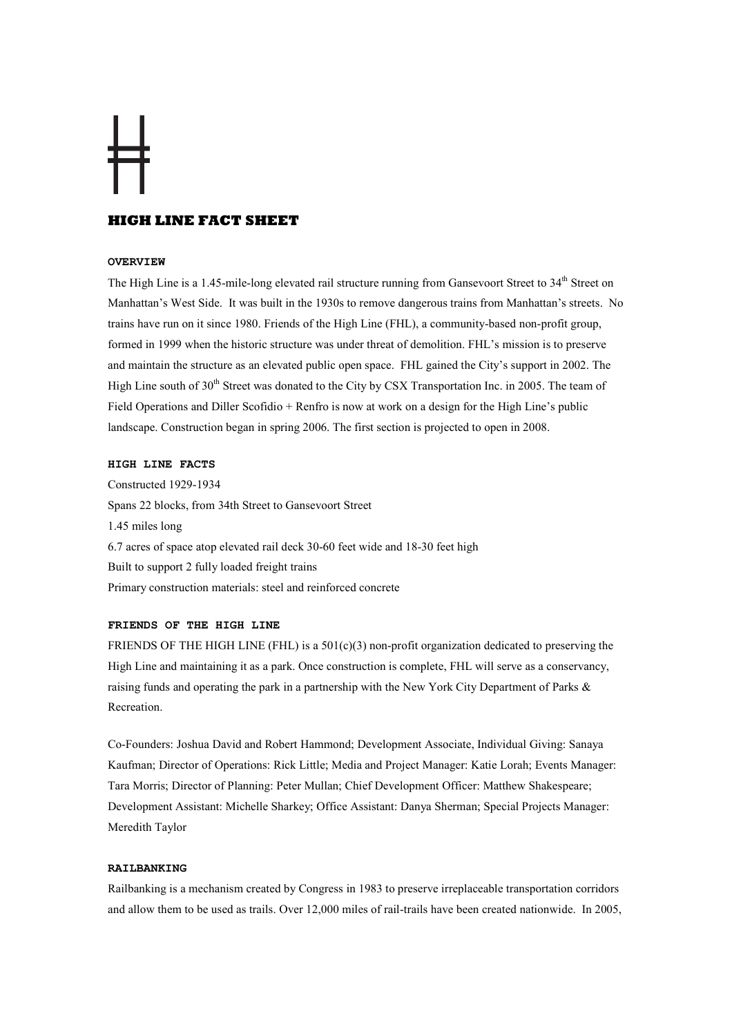# **HIGH LINE FACT SHEET**

## OVERVIEW

The High Line is a 1.45-mile-long elevated rail structure running from Gansevoort Street to 34<sup>th</sup> Street on Manhattan's West Side. It was built in the 1930s to remove dangerous trains from Manhattan's streets. No trains have run on it since 1980. Friends of the High Line (FHL), a community-based non-profit group, formed in 1999 when the historic structure was under threat of demolition. FHL's mission is to preserve and maintain the structure as an elevated public open space. FHL gained the City's support in 2002. The High Line south of 30<sup>th</sup> Street was donated to the City by CSX Transportation Inc. in 2005. The team of Field Operations and Diller Scofidio + Renfro is now at work on a design for the High Line's public landscape. Construction began in spring 2006. The first section is projected to open in 2008.

# HIGH LINE FACTS

Constructed 1929-1934 Spans 22 blocks, from 34th Street to Gansevoort Street 1.45 miles long 6.7 acres of space atop elevated rail deck 30-60 feet wide and 18-30 feet high Built to support 2 fully loaded freight trains Primary construction materials: steel and reinforced concrete

# FRIENDS OF THE HIGH LINE

FRIENDS OF THE HIGH LINE (FHL) is a  $501(c)(3)$  non-profit organization dedicated to preserving the High Line and maintaining it as a park. Once construction is complete, FHL will serve as a conservancy, raising funds and operating the park in a partnership with the New York City Department of Parks & Recreation.

Co-Founders: Joshua David and Robert Hammond; Development Associate, Individual Giving: Sanaya Kaufman; Director of Operations: Rick Little; Media and Project Manager: Katie Lorah; Events Manager: Tara Morris; Director of Planning: Peter Mullan; Chief Development Officer: Matthew Shakespeare; Development Assistant: Michelle Sharkey; Office Assistant: Danya Sherman; Special Projects Manager: Meredith Taylor

## RAILBANKING

Railbanking is a mechanism created by Congress in 1983 to preserve irreplaceable transportation corridors and allow them to be used as trails. Over 12,000 miles of rail-trails have been created nationwide. In 2005,